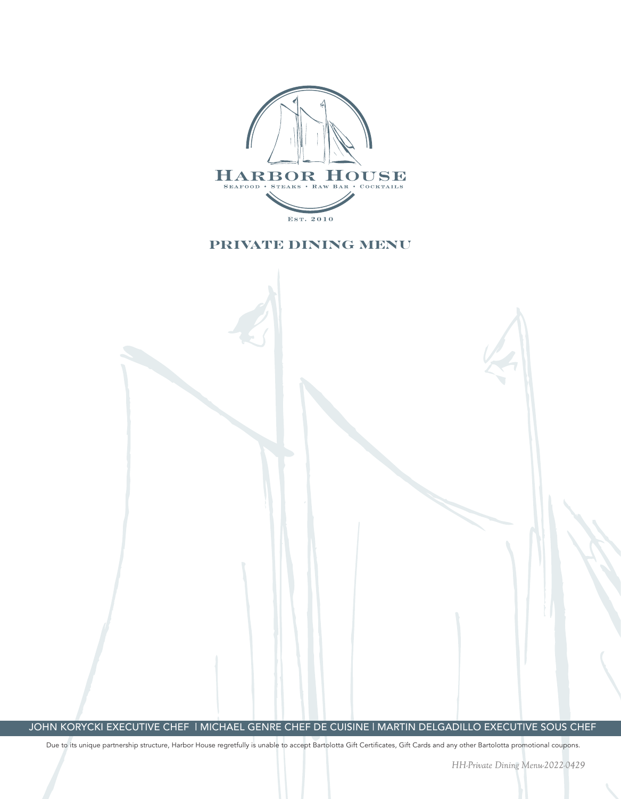

### **PRIVATE DINING MENU**

JOHN KORYCKI EXECUTIVE CHEF | MICHAEL GENRE CHEF DE CUISINE | MARTIN DELGADILLO EXECUTIVE SOUS CHEF

Due to its unique partnership structure, Harbor House regretfully is unable to accept Bartolotta Gift Certificates, Gift Cards and any other Bartolotta promotional coupons.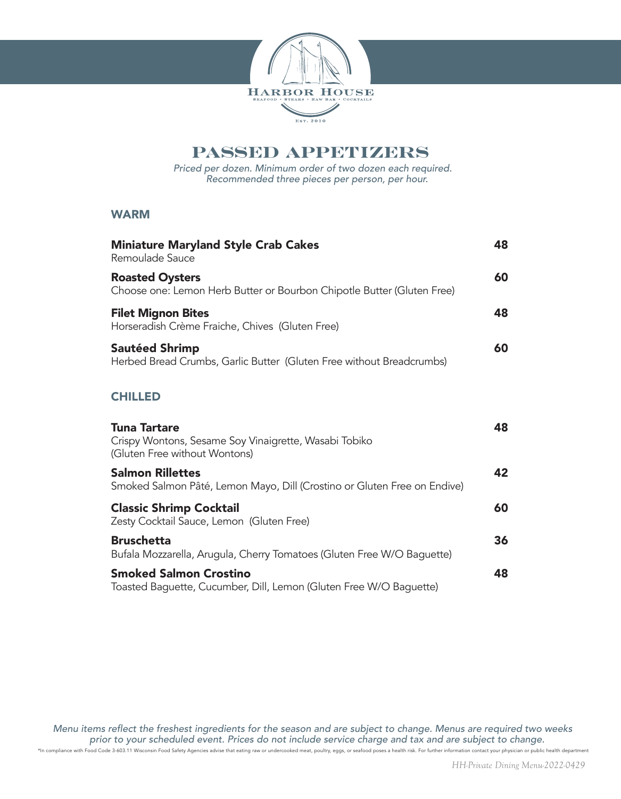

## **PASSED APPETIZERS**

Priced per dozen. Minimum order of two dozen each required. Recommended three pieces per person, per hour.

#### WARM

| <b>Miniature Maryland Style Crab Cakes</b><br>Remoulade Sauce                                                 | 48 |
|---------------------------------------------------------------------------------------------------------------|----|
| <b>Roasted Oysters</b><br>Choose one: Lemon Herb Butter or Bourbon Chipotle Butter (Gluten Free)              | 60 |
| <b>Filet Mignon Bites</b><br>Horseradish Crème Fraiche, Chives (Gluten Free)                                  | 48 |
| <b>Sautéed Shrimp</b><br>Herbed Bread Crumbs, Garlic Butter (Gluten Free without Breadcrumbs)                 | 60 |
| <b>CHILLED</b>                                                                                                |    |
| <b>Tuna Tartare</b><br>Crispy Wontons, Sesame Soy Vinaigrette, Wasabi Tobiko<br>(Gluten Free without Wontons) | 48 |
| <b>Salmon Rillettes</b><br>Smoked Salmon Pâté, Lemon Mayo, Dill (Crostino or Gluten Free on Endive)           | 42 |
| <b>Classic Shrimp Cocktail</b><br>Zesty Cocktail Sauce, Lemon (Gluten Free)                                   | 60 |
| <b>Bruschetta</b><br>Bufala Mozzarella, Arugula, Cherry Tomatoes (Gluten Free W/O Baguette)                   | 36 |
| <b>Smoked Salmon Crostino</b><br>Toasted Baguette, Cucumber, Dill, Lemon (Gluten Free W/O Baguette)           | 48 |

Menu items reflect the freshest ingredients for the season and are subject to change. Menus are required two weeks prior to your scheduled event. Prices do not include service charge and tax and are subject to change.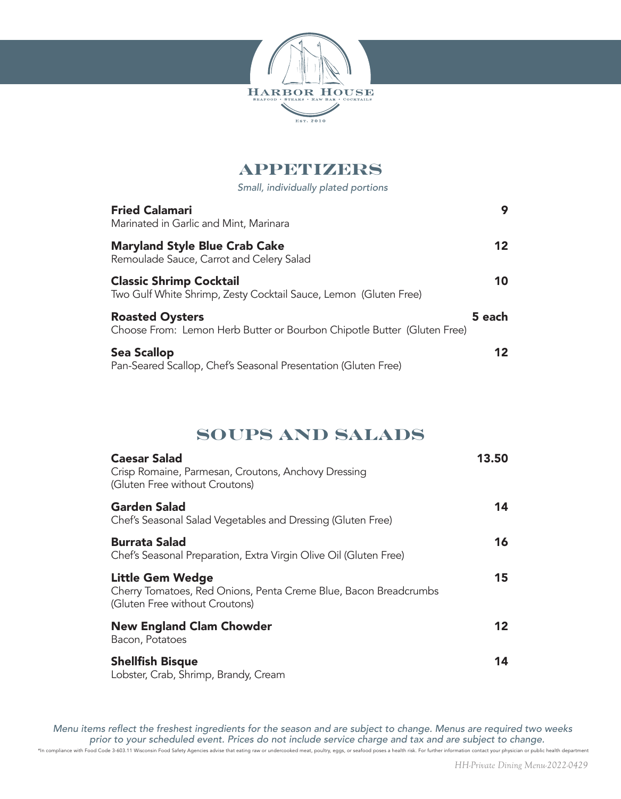

# **APPETIZERS**

Small, individually plated portions

| <b>Fried Calamari</b><br>Marinated in Garlic and Mint, Marinara                                    | 9               |
|----------------------------------------------------------------------------------------------------|-----------------|
| <b>Maryland Style Blue Crab Cake</b><br>Remoulade Sauce, Carrot and Celery Salad                   | 12              |
| <b>Classic Shrimp Cocktail</b><br>Two Gulf White Shrimp, Zesty Cocktail Sauce, Lemon (Gluten Free) | 10              |
| <b>Roasted Oysters</b><br>Choose From: Lemon Herb Butter or Bourbon Chipotle Butter (Gluten Free)  | 5 each          |
| <b>Sea Scallop</b><br>Pan-Seared Scallop, Chef's Seasonal Presentation (Gluten Free)               | 12 <sup>1</sup> |

# **SOUPS AND SALADS**

| <b>Caesar Salad</b><br>Crisp Romaine, Parmesan, Croutons, Anchovy Dressing<br>(Gluten Free without Croutons)           | 13.50 |
|------------------------------------------------------------------------------------------------------------------------|-------|
| <b>Garden Salad</b><br>Chef's Seasonal Salad Vegetables and Dressing (Gluten Free)                                     | 14    |
| <b>Burrata Salad</b><br>Chef's Seasonal Preparation, Extra Virgin Olive Oil (Gluten Free)                              | 16    |
| Little Gem Wedge<br>Cherry Tomatoes, Red Onions, Penta Creme Blue, Bacon Breadcrumbs<br>(Gluten Free without Croutons) | 15    |
| <b>New England Clam Chowder</b><br>Bacon, Potatoes                                                                     | 12    |
| <b>Shellfish Bisque</b><br>Lobster, Crab, Shrimp, Brandy, Cream                                                        | 14    |

Menu items reflect the freshest ingredients for the season and are subject to change. Menus are required two weeks prior to your scheduled event. Prices do not include service charge and tax and are subject to change.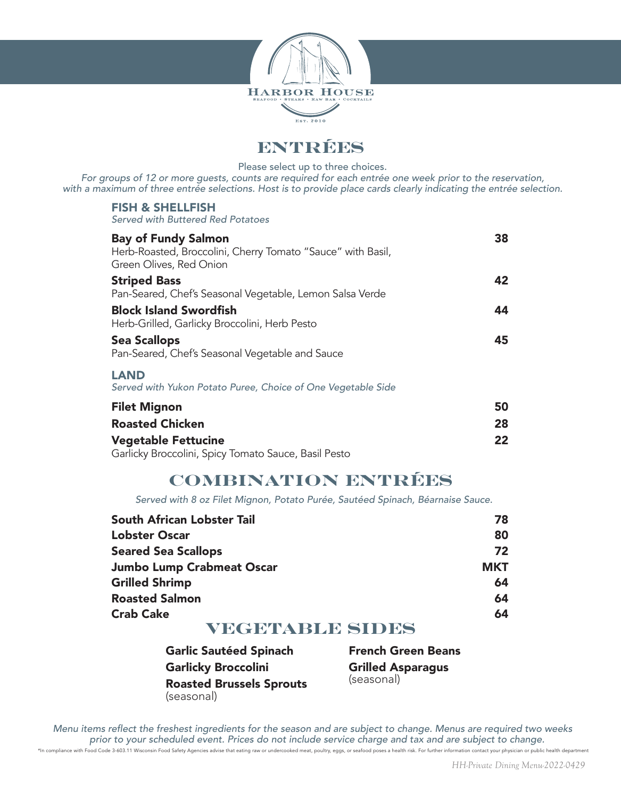

**ENTRÉES**

Please select up to three choices.

For groups of 12 or more guests, counts are required for each entrée one week prior to the reservation, with a maximum of three entrée selections. Host is to provide place cards clearly indicating the entrée selection.

#### FISH & SHELLFISH

Served with Buttered Red Potatoes

| <b>Bay of Fundy Salmon</b>                                   | 38 |
|--------------------------------------------------------------|----|
| Herb-Roasted, Broccolini, Cherry Tomato "Sauce" with Basil,  |    |
| Green Olives, Red Onion                                      |    |
| <b>Striped Bass</b>                                          | 42 |
| Pan-Seared, Chef's Seasonal Vegetable, Lemon Salsa Verde     |    |
| <b>Block Island Swordfish</b>                                | 44 |
| Herb-Grilled, Garlicky Broccolini, Herb Pesto                |    |
| <b>Sea Scallops</b>                                          | 45 |
| Pan-Seared, Chef's Seasonal Vegetable and Sauce              |    |
| <b>LAND</b>                                                  |    |
| Served with Yukon Potato Puree, Choice of One Vegetable Side |    |
| <b>Filet Mignon</b>                                          | 50 |
| <b>Roasted Chicken</b>                                       | 28 |
| <b>Vegetable Fettucine</b>                                   | 22 |

Garlicky Broccolini, Spicy Tomato Sauce, Basil Pesto

## **COMBINATION ENTRÉES**

Served with 8 oz Filet Mignon, Potato Purée, Sautéed Spinach, Béarnaise Sauce.

| South African Lobster Tail       | 78         |
|----------------------------------|------------|
| <b>Lobster Oscar</b>             | 80         |
| <b>Seared Sea Scallops</b>       | 72         |
| <b>Jumbo Lump Crabmeat Oscar</b> | <b>MKT</b> |
| <b>Grilled Shrimp</b>            | 64         |
| <b>Roasted Salmon</b>            | 64         |
| <b>Crab Cake</b>                 | 64         |

## **VEGETABLE SIDES**

| <b>Garlic Sautéed Spinach</b>   | Fr  |
|---------------------------------|-----|
| <b>Garlicky Broccolini</b>      | Gı  |
| <b>Roasted Brussels Sprouts</b> | (se |
| (seasonal)                      |     |

**rench Green Beans** rilled Asparagus easonal)

Menu items reflect the freshest ingredients for the season and are subject to change. Menus are required two weeks prior to your scheduled event. Prices do not include service charge and tax and are subject to change. \*In compliance with Food Code 3-603.11 Wisconsin Food Safety Agencies advise that eating raw or undercooked meat, poultry, eggs, or seafood poses a health risk. For further information contact your physician or public heal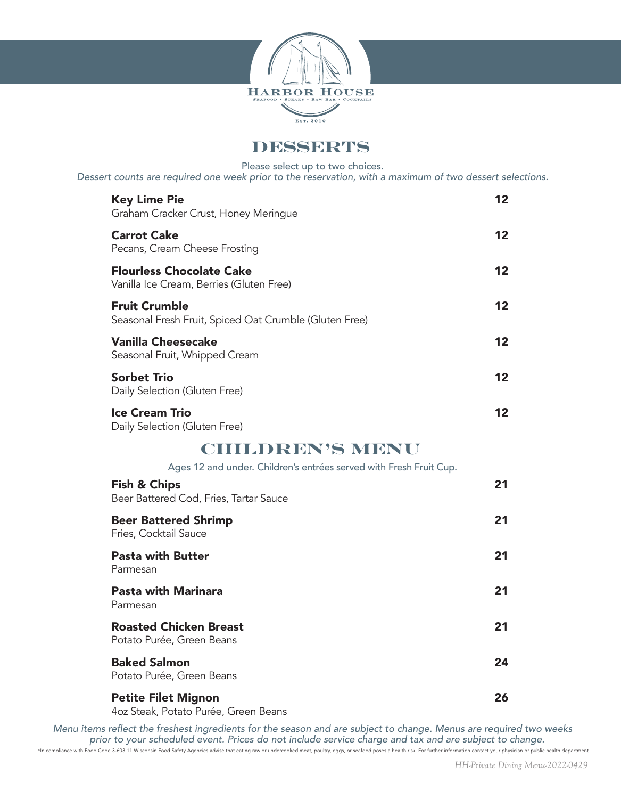

**DESSERTS**

Please select up to two choices.

Dessert counts are required one week prior to the reservation, with a maximum of two dessert selections.

| <b>Key Lime Pie</b><br>Graham Cracker Crust, Honey Meringue                    | 12                |
|--------------------------------------------------------------------------------|-------------------|
| <b>Carrot Cake</b><br>Pecans, Cream Cheese Frosting                            | $12 \,$           |
| <b>Flourless Chocolate Cake</b><br>Vanilla Ice Cream, Berries (Gluten Free)    | $12 \,$           |
| <b>Fruit Crumble</b><br>Seasonal Fresh Fruit, Spiced Oat Crumble (Gluten Free) | 12                |
| <b>Vanilla Cheesecake</b><br>Seasonal Fruit, Whipped Cream                     | 12                |
| <b>Sorbet Trio</b><br>Daily Selection (Gluten Free)                            | 12                |
| <b>Ice Cream Trio</b><br>Daily Selection (Gluten Free)                         | $12 \overline{ }$ |
| <b>CHILDREN'S MENU</b>                                                         |                   |
| Ages 12 and under. Children's entrées served with Fresh Fruit Cup.             |                   |
| <b>Fish &amp; Chips</b><br>Beer Battered Cod, Fries, Tartar Sauce              | 21                |
| <b>Beer Battered Shrimp</b><br>Fries, Cocktail Sauce                           | 21                |
| <b>Pasta with Butter</b><br>Parmesan                                           | 21                |
| <b>Pasta with Marinara</b><br>Parmesan                                         | 21                |
| <b>Roasted Chicken Breast</b><br>Potato Purée, Green Beans                     | 21                |
| <b>Baked Salmon</b><br>Potato Purée, Green Beans                               | 24                |
| <b>Petite Filet Mignon</b><br>4oz Steak, Potato Purée, Green Beans             | 26                |

Menu items reflect the freshest ingredients for the season and are subject to change. Menus are required two weeks prior to your scheduled event. Prices do not include service charge and tax and are subject to change.

\*In compliance with Food Code 3-603.11 Wisconsin Food Safety Agencies advise that eating raw or undercooked meat, poultry, eggs, or seafood poses a health risk. For further information contact your physician or public heal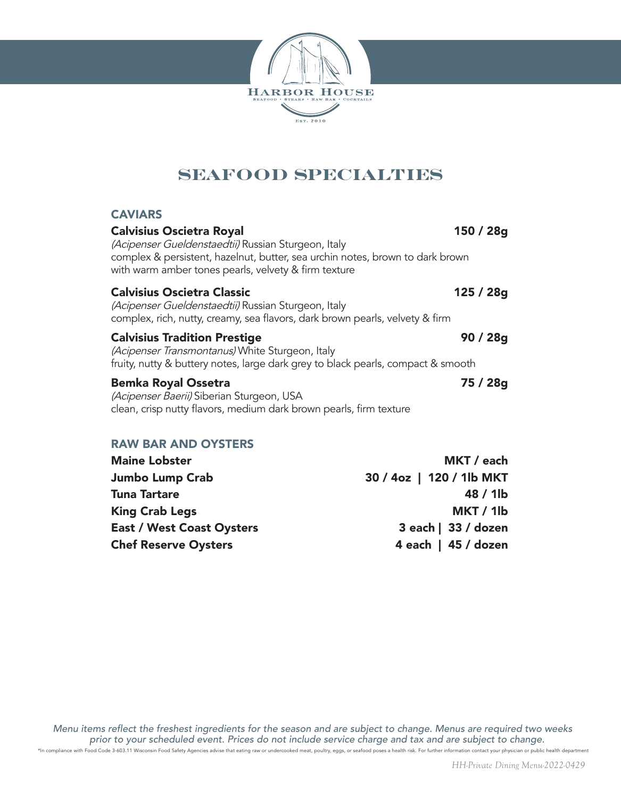

# **SEAFOOD SPECIALTIES**

#### **CAVIARS**

| <b>Calvisius Oscietra Royal</b><br>(Acipenser Gueldenstaedtii) Russian Sturgeon, Italy<br>complex & persistent, hazelnut, butter, sea urchin notes, brown to dark brown<br>with warm amber tones pearls, velvety & firm texture | 150 / 28g |
|---------------------------------------------------------------------------------------------------------------------------------------------------------------------------------------------------------------------------------|-----------|
| <b>Calvisius Oscietra Classic</b><br>(Acipenser Gueldenstaedtii) Russian Sturgeon, Italy<br>complex, rich, nutty, creamy, sea flavors, dark brown pearls, velvety & firm                                                        | 125 / 28g |
| <b>Calvisius Tradition Prestige</b><br>(Acipenser Transmontanus) White Sturgeon, Italy<br>fruity, nutty & buttery notes, large dark grey to black pearls, compact & smooth                                                      | 90 / 28g  |
| <b>Bemka Royal Ossetra</b><br>(Acipenser Baerii) Siberian Sturgeon, USA<br>clean, crisp nutty flavors, medium dark brown pearls, firm texture                                                                                   | 75 / 28g  |
| <b>RAW BAR AND OYSTERS</b>                                                                                                                                                                                                      |           |

| <b>Maine Lobster</b>             | MKT / each               |
|----------------------------------|--------------------------|
| <b>Jumbo Lump Crab</b>           | 30 / 4oz   120 / 1lb MKT |
| <b>Tuna Tartare</b>              | $48/1$ lb                |
| <b>King Crab Legs</b>            | MKT / 1lb                |
| <b>East / West Coast Oysters</b> | 3 each   33 / dozen      |
| <b>Chef Reserve Oysters</b>      | 4 each   45 / dozen      |

Menu items reflect the freshest ingredients for the season and are subject to change. Menus are required two weeks prior to your scheduled event. Prices do not include service charge and tax and are subject to change.